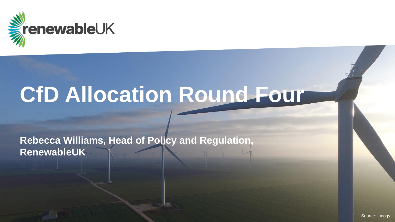

# **CfD Allocation Round Four**

**Rebecca Williams, Head of Policy and Regulation, RenewableUK**

Source: Innogy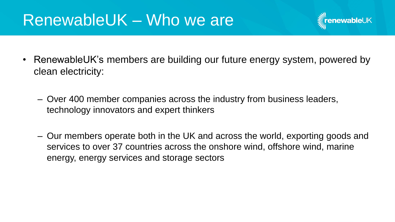## RenewableUK – Who we are



- RenewableUK's members are building our future energy system, powered by clean electricity:
	- Over 400 member companies across the industry from business leaders, technology innovators and expert thinkers
	- Our members operate both in the UK and across the world, exporting goods and services to over 37 countries across the onshore wind, offshore wind, marine energy, energy services and storage sectors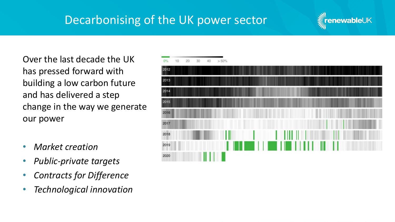### Decarbonising of the UK power sector



Over the last decade the UK has pressed forward with building a low carbon future and has delivered a step change in the way we generate our power

- *Market creation*
- *Public-private targets*
- *Contracts for Difference*
- *Technological innovation*

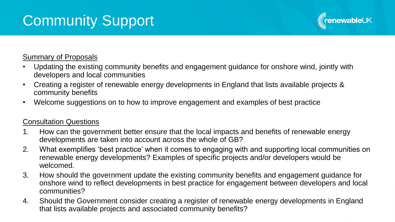# Community Support



#### Summary of Proposals

- Updating the existing community benefits and engagement guidance for onshore wind, jointly with developers and local communities
- Creating a register of renewable energy developments in England that lists available projects & community benefits
- Welcome suggestions on to how to improve engagement and examples of best practice

#### Consultation Questions

- 1. How can the government better ensure that the local impacts and benefits of renewable energy developments are taken into account across the whole of GB?
- 2. What exemplifies 'best practice' when it comes to engaging with and supporting local communities on renewable energy developments? Examples of specific projects and/or developers would be welcomed.
- 3. How should the government update the existing community benefits and engagement guidance for onshore wind to reflect developments in best practice for engagement between developers and local communities?
- 4. Should the Government consider creating a register of renewable energy developments in England that lists available projects and associated community benefits?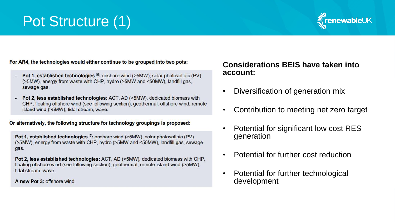## Pot Structure (1)



For AR4, the technologies would either continue to be grouped into two pots:

- Pot 1, established technologies<sup>16</sup>: onshore wind (>5MW), solar photovoltaic (PV) (>5MW), energy from waste with CHP, hydro (>5MW and <50MW), landfill gas, sewage gas.
- **Pot 2, less established technologies:** ACT, AD (>5MW), dedicated biomass with CHP, floating offshore wind (see following section), geothermal, offshore wind, remote island wind (>5MW), tidal stream, wave.

Or alternatively, the following structure for technology groupings is proposed:

Pot 1, established technologies<sup>17</sup>: onshore wind (>5MW), solar photovoltaic (PV) (>5MW), energy from waste with CHP, hydro (>5MW and <50MW), landfill gas, sewage gas.

Pot 2, less established technologies: ACT, AD (>5MW), dedicated biomass with CHP, floating offshore wind (see following section), geothermal, remote island wind (>5MW), tidal stream, wave.

A new Pot 3: offshore wind.

#### **Considerations BEIS have taken into account:**

- Diversification of generation mix
- Contribution to meeting net zero target
- Potential for significant low cost RES generation
- Potential for further cost reduction
- Potential for further technological development